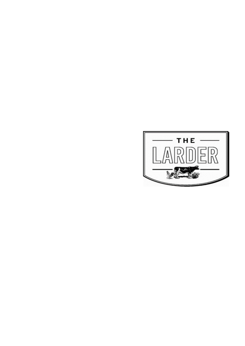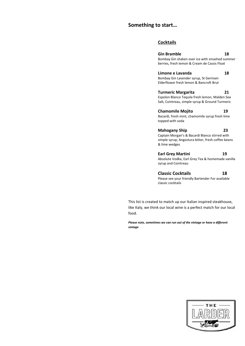#### **Something to start…**

#### **Cocktails**

**Gin Bramble 18** Bombay Gin shaken over ice with smashed summer berries, fresh lemon & Cream de Cassis Float **Limone e Lavanda 18** Bombay Gin Lavender syrup, St Germain Elderflower fresh lemon & Bancroft Brut **Turmeric Margarita 21** Espolon Blanco Tequila fresh lemon, Malden Sea Salt, Cointreau, simple syrup & Ground Turmeric **Chamomile Mojito 19** Bacardi, fresh mint, chamomile syrup fresh lime topped with soda **Mahogany Ship 23** Captain Morgan's & Bacardi Blanco stirred with simple syrup, Angostura bitter, fresh coffee beans & lime wedges **Earl Grey Martini 19** Absolute Vodka, Earl Grey Tea & homemade vanilla syrup and Cointreau

**Classic Cocktails 18** Please see your friendly Bartender For available classic cocktails

This list is created to match up our Italian inspired steakhouse, like Italy, we think our local wine is a perfect match for our local food.

*Please note, sometimes we can run out of the vintage or have a different vintage*

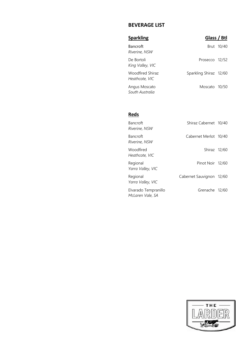### **BEVERAGE LIST**

| <b>Sparkling</b>                   | Glass / Btl            |            |
|------------------------------------|------------------------|------------|
| Bancroft<br>Riverine, NSW          |                        | Brut 10/40 |
| De Bortoli<br>King Valley, VIC     | Prosecco 12/52         |            |
| Woodfired Shiraz<br>Heathcote, VIC | Sparkling Shiraz 12/60 |            |
| Angus Moscato<br>South Australia   | Moscato 10/50          |            |

#### **Reds**

| <b>Bancroft</b><br>Riverine, NSW         | Shiraz Cabernet 10/40    |  |
|------------------------------------------|--------------------------|--|
| Bancroft<br>Riverine, NSW                | Cabernet Merlot 10/40    |  |
| Woodfired<br>Heathcote, VIC              | Shiraz 12/60             |  |
| Regional<br>Yarra Valley, VIC            | Pinot Noir 12/60         |  |
| Regional<br>Yarra Valley, VIC            | Cabernet Sauvignon 12/60 |  |
| Elvarado Tempranillo<br>McLaren Vale, SA | Grenache 12/60           |  |

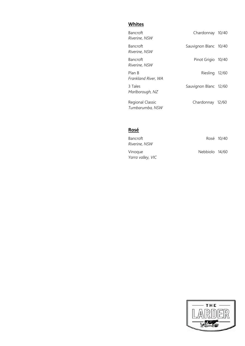### **Whites**

| Bancroft<br>Riverine, NSW           | Chardonnay 10/40      |  |
|-------------------------------------|-----------------------|--|
| Bancroft<br>Riverine, NSW           | Sauvignon Blanc 10/40 |  |
| Bancroft<br>Riverine, NSW           | Pinot Grigio 10/40    |  |
| Plan B<br>Frankland River, WA       | Riesling 12/60        |  |
| 3 Tales<br>Marlborough, NZ          | Sauvignon Blanc 12/60 |  |
| Regional Classic<br>Tumbarumba, NSW | Chardonnay 12/60      |  |

## **Rosé**

| <b>Bancroft</b><br>Riverine, NSW |                | Rosé 10/40 |
|----------------------------------|----------------|------------|
| Vinoque<br>Yarra valley, VIC     | Nebbiolo 14/60 |            |

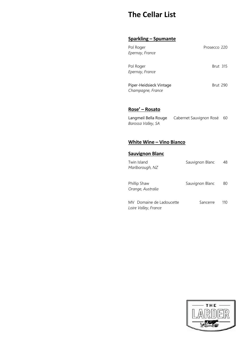# **The Cellar List**

#### **Sparkling – Spumante**

| Pol Roger<br>Epernay, France                 | Prosecco 220    |
|----------------------------------------------|-----------------|
| Pol Roger<br>Epernay, France                 | <b>Brut 315</b> |
| Piper-Heidsieck Vintage<br>Champagne, France | <b>Brut</b> 290 |

#### **Rose' – Rosato**

| Langmeil Bella Rouge | Cabernet Sauvignon Rosé 60 |  |
|----------------------|----------------------------|--|
| Barossa Valley, SA   |                            |  |

#### **White Wine – Vino Bianco**

#### **Sauvignon Blanc**

| Twin Island<br>Marlborough, NZ                   | Sauvignon Blanc | 48  |
|--------------------------------------------------|-----------------|-----|
| Phillip Shaw<br>Orange, Australia                | Sauvignon Blanc | 80  |
| MV Domaine de Ladoucette<br>Loire Valley, France | Sancerre        | 110 |

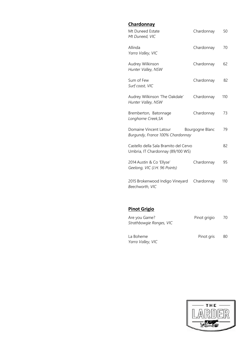| <b>Chardonnay</b>                                                          |                 |     |
|----------------------------------------------------------------------------|-----------------|-----|
| Mt Duneed Estate<br>Mt Duneed, VIC                                         | Chardonnay      | 50  |
| Allinda<br>Yarra Valley, VIC                                               | Chardonnay      | 70  |
| Audrey Wilkinson<br>Hunter Valley, NSW                                     | Chardonnay      | 62  |
| Sum of Few<br>Surf coast, VIC                                              | Chardonnay      | 82  |
| Audrey Wilkinson 'The Oakdale'<br>Hunter Valley, NSW                       | Chardonnay      | 110 |
| Bremberton, Batonnage<br>Longhorne Creek, SA                               | Chardonnay      | 73  |
| Domaine Vincent Latour<br>Burgundy, France 100% Chardonnay                 | Bourgogne Blanc | 79  |
| Castello della Sala Bramito del Cervo<br>Umbria, IT Chardonnay (89/100 WS) |                 | 82  |
| 2014 Austin & Co 'Ellyse'<br>Geelong, VIC (J.H. 96 Points)                 | Chardonnay      | 95  |
| 2015 Brokenwood Indigo Vineyard<br>Beechworth, VIC                         | Chardonnay      | 110 |

### **Pinot Grigio**

| Are you Game?<br>Strathbowgie Ranges, VIC | Pinot grigio | 70 |
|-------------------------------------------|--------------|----|
| La Boheme<br>Yarra Valley, VIC            | Pinot gris   | 80 |

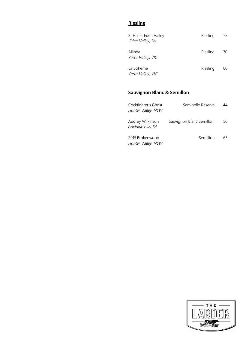### **Riesling**

| St Hallet Eden Valley<br>Eden Valley, SA | Riesling | 75 |
|------------------------------------------|----------|----|
| Allinda<br>Yarra Valley, VIC             | Riesling | 70 |
| La Boheme<br>Yarra Valley, VIC           | Riesling | 80 |

### **Sauvignon Blanc & Semillon**

| Cockfighter's Ghost<br>Hunter Valley, NSW | Seminolle Reserve        | 44 |
|-------------------------------------------|--------------------------|----|
| Audrey Wilkinson<br>Adelaide hills, SA    | Sauvignon Blanc Semillon | 50 |
| 2015 Brokenwood<br>Hunter Valley, NSW     | Semillion                | 63 |

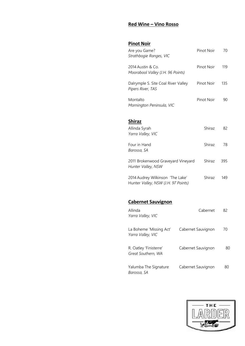#### **Red Wine – Vino Rosso**

### **Pinot Noir**

| Are you Game?<br>Strathbogie Ranges, VIC                 | Pinot Noir | 70  |
|----------------------------------------------------------|------------|-----|
| 2014 Austin & Co.<br>Moorabool Valley (J.H. 96 Points)   | Pinot Noir | 119 |
| Dalrymple S. Site Coal River Valley<br>Pipers River, TAS | Pinot Noir | 135 |
| Montalto<br>Mornington Peninsula, VIC                    | Pinot Noir | 90  |
| <b>Shiraz</b>                                            |            |     |
| Allinda Syrah<br>Yarra Valley, VIC                       | Shiraz     | 82  |
| Four in Hand<br>Barossa, SA                              | Shiraz     | 78  |
| 2011 Brokenwood Graveyard Vineyard<br>Hunter Valley, NSW | Shiraz     | 395 |

2014 Audrey Wilkinson 'The Lake' Shiraz 149 Hunter *Valley, NSW (J.H. 97 Points)*

#### **Cabernet Sauvignon**

| Allinda<br>Yarra Valley, VIC                 | Cabernet           | 82 |
|----------------------------------------------|--------------------|----|
| La Boheme 'Missing Act'<br>Yarra Valley, VIC | Cabernet Sauvignon | 70 |
| R. Oatley 'Finisterre'<br>Great Southern, WA | Cabernet Sauvignon | 80 |
| Yalumba The Signature<br>Barossa, SA         | Cabernet Sauvignon | 80 |

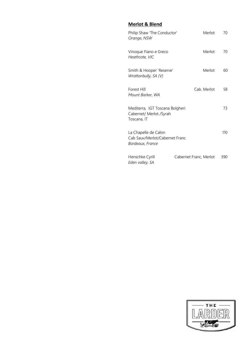### **Merlot & Blend**

| Philip Shaw 'The Conductor'<br>Orange, NSW                                 | Merlot                 | 70  |
|----------------------------------------------------------------------------|------------------------|-----|
| Vinoque Fiano e Greco<br>Heathcote, VIC                                    | Merlot                 | 70  |
| Smith & Hooper 'Reserve'<br>Wrattonbully, SA (V)                           | Merlot                 | 60  |
| Forest Hill<br>Mount Barker, WA                                            | Cab. Merlot            | 58  |
| Mediterra, IGT Toscana Bolgheri<br>Cabernet/ Merlot /Syrah<br>Toscana, IT  |                        | 73  |
| La Chapelle de Calon<br>Cab Sauv/Merlot/Cabernet Franc<br>Bordeaux, France |                        | 110 |
| Henschke Cyrill<br>Eden valley, SA                                         | Cabernet Franc, Merlot | 390 |

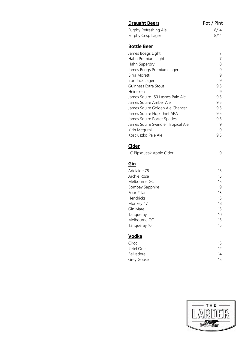| <b>Draught Beers</b>               | Pot / Pint     |
|------------------------------------|----------------|
| Furphy Refreshing Ale              | 8/14           |
| Furphy Crisp Lager                 | 8/14           |
| <b>Bottle Beer</b>                 |                |
| James Boags Light                  | 7              |
| Hahn Premium Light                 | $\overline{7}$ |
| Hahn Superdry                      | 8              |
| James Boags Premium Lager          | 9              |
| Birra Moretti                      | 9              |
| Iron Jack Lager                    | 9              |
| Guinness Extra Stout               | 9.5            |
| Heineken                           | 9              |
| James Squire 150 Lashes Pale Ale   | 9.5            |
| James Squire Amber Ale             | 9.5            |
| James Squire Golden Ale Chancer    | 9.5            |
| James Squire Hop Thief APA         | 9.5            |
| James Squire Porter Spades         | 9.5            |
| James Squire Swindler Tropical Ale | 9              |
| Kirin Megumi                       | 9              |
| Kosciuszko Pale Ale                | 9.5            |
| Cider                              |                |
| LC Pipsqueak Apple Cider           | 9              |
| Gin                                |                |
| Adelaide 78                        | 15             |
| Archie Rose                        | 15             |
| Melbourne GC                       | 15             |
| <b>Bombay Sapphire</b>             | 9              |
| <b>Four Pillars</b>                | 13             |
| Hendricks                          | 15             |
| Monkey 47                          | 18             |
| Gin Mare                           | 15             |
| Tanqueray                          | 10             |
| Melbourne GC                       | 15             |
| Tanqueray 10                       | 15             |
| <b>Vodka</b>                       |                |
| Ciroc                              | 15             |
| Ketel One                          | 12             |
| Belvedere                          | 14             |
| Grey Goose                         | 15             |

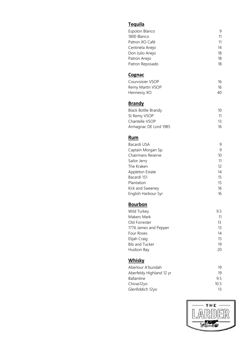### **Tequila**

| Espolon Blanco  | 9  |
|-----------------|----|
| 1800 Blanco     | 11 |
| Patron XO Café  | 11 |
| Centinela Anejo | 14 |
| Don Julio Anejo | 18 |
| Patron Anejo    | 18 |
| Patron Reposado | 18 |
|                 |    |

### **Cognac**

| Courvoisier VSOP | 16 |
|------------------|----|
| Remy Martin VSOP | 16 |
| Hennessy XO      | 40 |

### **Brandy**

| <b>Black Bottle Brandy</b> | 10 |
|----------------------------|----|
| St Remy VSOP               | 11 |
| Chantelle VSOP             | 13 |
| Armagnac DE Lord 1985      | 16 |

#### **Rum**

| Bacardi USA         | 9                 |
|---------------------|-------------------|
| Captain Morgan Sp.  | 9                 |
| Chairmans Reserve   | 10                |
| Sailor Jerry        | 11                |
| The Kraken          | $12 \overline{ }$ |
| Appleton Estate     | 14                |
| Bacardi 151         | 15                |
| Plantation          | 15                |
| Kirk and Sweeney    | 16                |
| English Harbour 5yr | 16                |

#### **Bourbon**

| Wild Turkey           | 9.5 |
|-----------------------|-----|
| Makers Mark           | 11  |
| Old Forrester         | 13  |
| 1776 James and Pepper | 13  |
| Four Roses            | 14  |
| Elijah Craig          | 15  |
| <b>Bib and Tucker</b> | 19  |
| Hudson Bay            | 20  |
|                       |     |

# **Whisky**

| Aberlour A'bundah        | 19   |
|--------------------------|------|
| Aberfeldy Highland 12 yr | 19   |
| <b>Ballantine</b>        | 95   |
| Chivas12yo               | 10.5 |
| Glenfiddich 12yo         | 13   |
|                          |      |